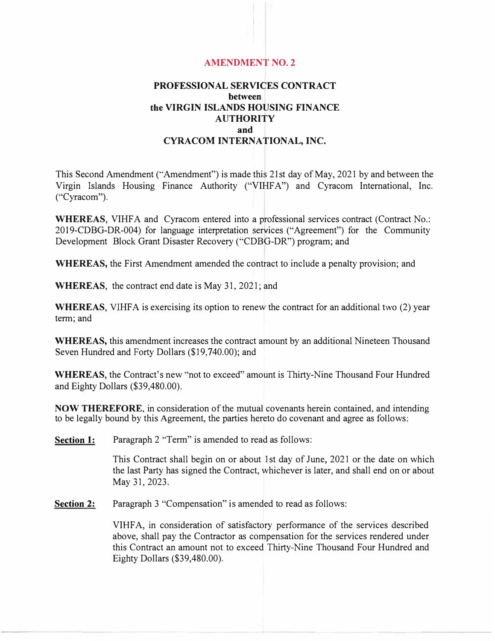## **AMENDMENT NO. 2**

## **PROFESSIONAL SERVICES CONTRACT between the VIRGIN ISLANDS HOUSING FINANCE AUTHORITY and CYRACOM INTERNATIONAL, INC.**

This Second Amendment ("Amendment") is made this 21st day of May, 2021 by and between the Virgin Islands Housing Finance Authority ("VIHFA") and Cyracom International, Inc. ("Cyracom").

**WHEREAS,** VIHFA and Cyracom entered into a professional services contract (Contract No.: 2019-CDBG-DR-004) for language interpretation services ("Agreement") for the Community Development Block Grant Disaster Recovery ("CDBG-DR") program; and

**WHEREAS,** the First Amendment amended the contract to include a penalty provision; and

**WHEREAS,** the contract end date is May 31, 2021; and

**WHEREAS,** VIHFA is exercising its option to renew the contract for an additional two (2) year term; and

**WHEREAS,** this amendment increases the contract amount by an additional Nineteen Thousand Seven Hundred and Forty Dollars (\$19,740.00); and

**WHEREAS,** the Contract's new "not to exceed" amount is Thirty-Nine Thousand Four Hundred and Eighty Dollars (\$39,480.00).

**NOW THEREFORE,** in consideration of the mutual covenants herein contained, and intending to be legally bound by this Agreement, the parties hereto do covenant and agree as follows:

**Section 1:**  Paragraph 2 "Term" is amended to read as follows:

> This Contract shall begin on or about 1st day of June, 2021 or the date on which the last Party has signed the Contract, whichever is later, and shall end on or about May 31, 2023.

**Section 2:**  Paragraph 3 "Compensation" is amended to read as follows:

> VIHF A, in consideration of satisfactory performance of the services described above, shall pay the Contractor as compensation for the services rendered under this Contract an amount not to exceed Thirty-Nine Thousand Four Hundred and Eighty Dollars (\$39,480.00).